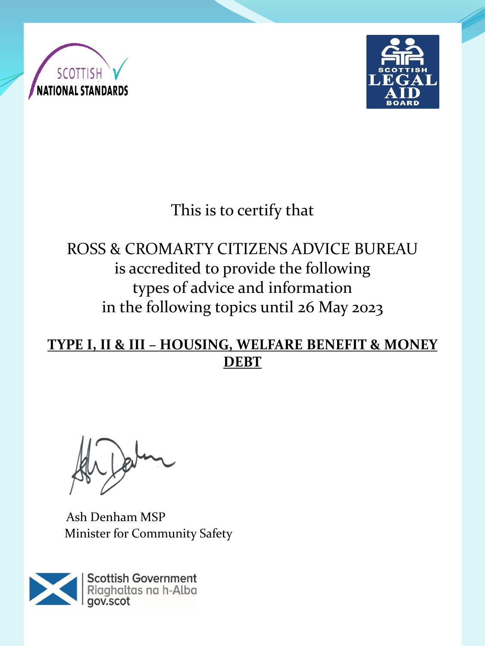



# This is to certify that

## ROSS & CROMARTY CITIZENS ADVICE BUREAU is accredited to provide the following types of advice and information in the following topics until 26 May 2023

#### **TYPE I, II & III – HOUSING, WELFARE BENEFIT & MONEY DEBT**

Ash Denham MSP Minister for Community Safety

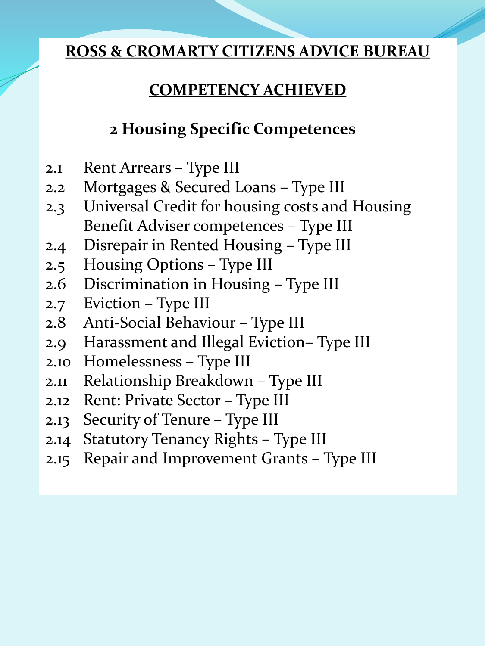### **COMPETENCY ACHIEVED**

### **2 Housing Specific Competences**

- 2.1 Rent Arrears Type III
- 2.2 Mortgages & Secured Loans Type III
- 2.3 Universal Credit for housing costs and Housing Benefit Adviser competences – Type III
- 2.4 Disrepair in Rented Housing Type III
- 2.5 Housing Options Type III
- 2.6 Discrimination in Housing Type III
- 2.7 Eviction Type III
- 2.8 Anti-Social Behaviour Type III
- 2.9 Harassment and Illegal Eviction– Type III
- 2.10 Homelessness Type III
- 2.11 Relationship Breakdown Type III
- 2.12 Rent: Private Sector Type III
- 2.13 Security of Tenure Type III
- 2.14 Statutory Tenancy Rights Type III
- 2.15 Repair and Improvement Grants Type III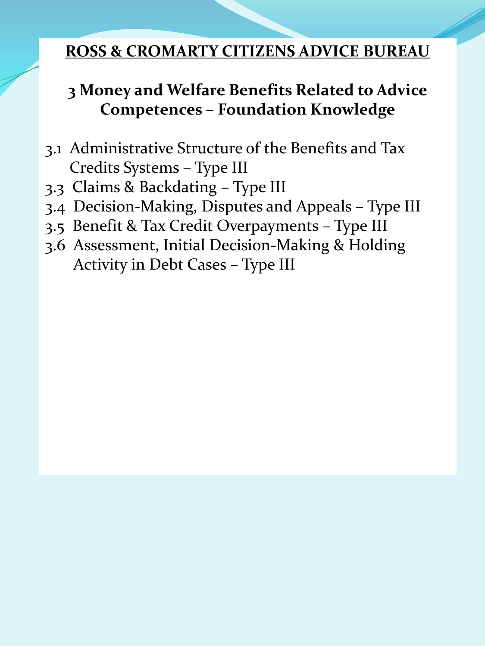### **3 Money and Welfare Benefits Related to Advice Competences – Foundation Knowledge**

- 3.1 Administrative Structure of the Benefits and Tax Credits Systems – Type III
- 3.3 Claims & Backdating Type III
- 3.4 Decision-Making, Disputes and Appeals Type III
- 3.5 Benefit & Tax Credit Overpayments Type III
- 3.6 Assessment, Initial Decision-Making & Holding Activity in Debt Cases – Type III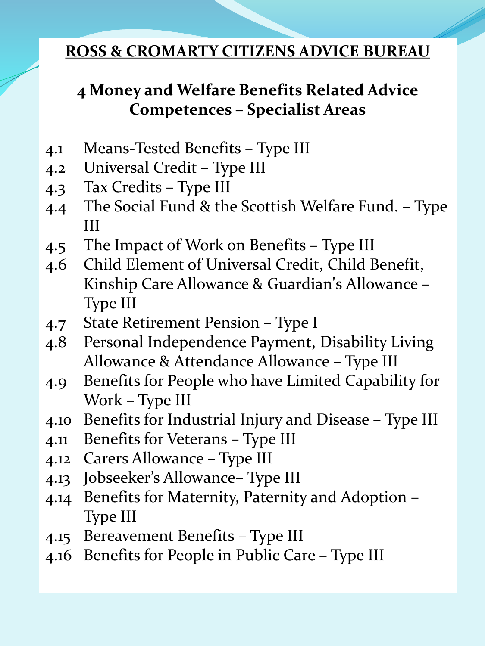### **4 Money and Welfare Benefits Related Advice Competences – Specialist Areas**

- 4.1 Means-Tested Benefits Type III
- 4.2 Universal Credit Type III
- 4.3 Tax Credits Type III
- 4.4 The Social Fund & the Scottish Welfare Fund. Type III
- 4.5 The Impact of Work on Benefits Type III
- 4.6 Child Element of Universal Credit, Child Benefit, Kinship Care Allowance & Guardian's Allowance – Type III
- 4.7 State Retirement Pension Type I
- 4.8 Personal Independence Payment, Disability Living Allowance & Attendance Allowance – Type III
- 4.9 Benefits for People who have Limited Capability for Work – Type III
- 4.10 Benefits for Industrial Injury and Disease Type III
- 4.11 Benefits for Veterans Type III
- 4.12 Carers Allowance Type III
- 4.13 Jobseeker's Allowance– Type III
- 4.14 Benefits for Maternity, Paternity and Adoption Type III
- 4.15 Bereavement Benefits Type III
- 4.16 Benefits for People in Public Care Type III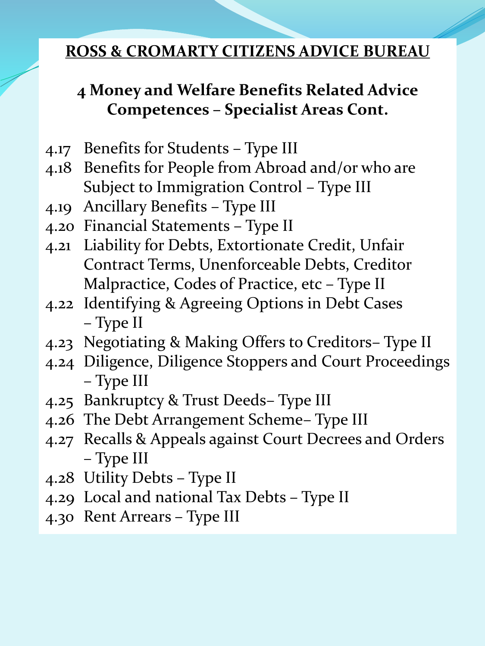### **4 Money and Welfare Benefits Related Advice Competences – Specialist Areas Cont.**

- 4.17 Benefits for Students Type III
- 4.18 Benefits for People from Abroad and/or who are Subject to Immigration Control – Type III
- 4.19 Ancillary Benefits Type III
- 4.20 Financial Statements Type II
- 4.21 Liability for Debts, Extortionate Credit, Unfair Contract Terms, Unenforceable Debts, Creditor Malpractice, Codes of Practice, etc – Type II
- 4.22 Identifying & Agreeing Options in Debt Cases – Type II
- 4.23 Negotiating & Making Offers to Creditors– Type II
- 4.24 Diligence, Diligence Stoppers and Court Proceedings – Type III
- 4.25 Bankruptcy & Trust Deeds– Type III
- 4.26 The Debt Arrangement Scheme– Type III
- 4.27 Recalls & Appeals against Court Decrees and Orders – Type III
- 4.28 Utility Debts Type II
- 4.29 Local and national Tax Debts Type II
- 4.30 Rent Arrears Type III